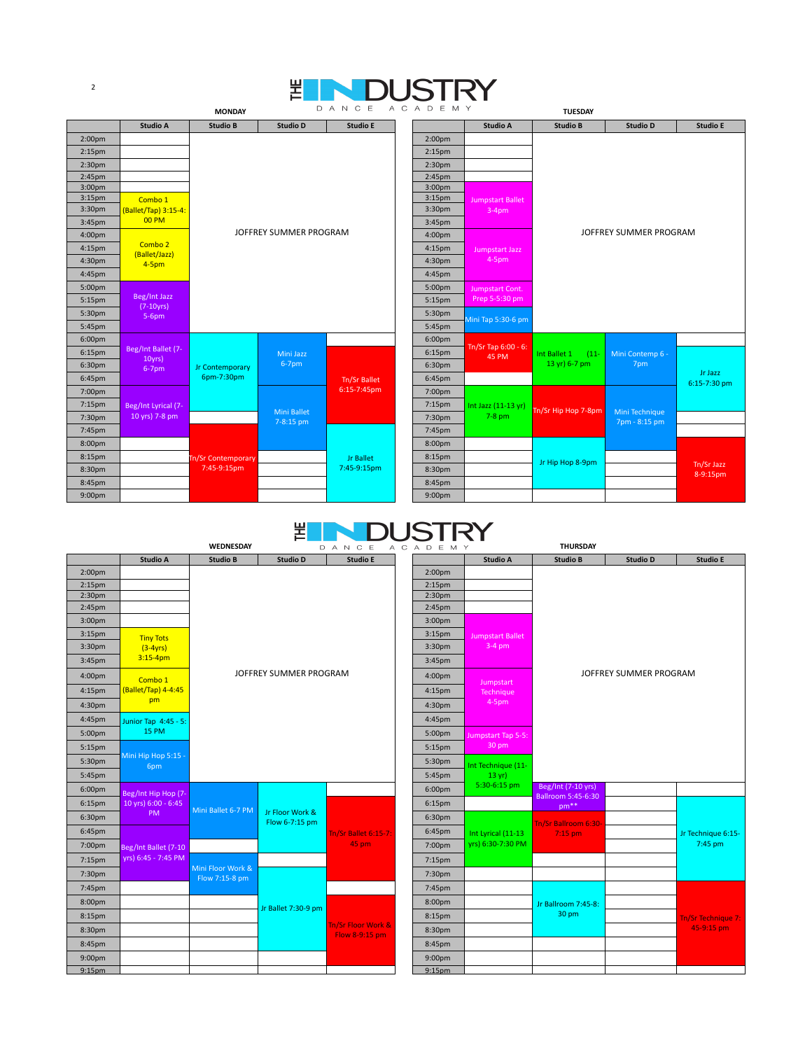## **MONDAY** 뾥

2

| <b>Studio A</b><br><b>Studio E</b><br><b>Studio E</b><br><b>Studio B</b><br><b>Studio D</b><br><b>Studio A</b><br><b>Studio B</b><br><b>Studio D</b><br>2:00 <sub>pm</sub><br>2:00 <sub>pm</sub><br>2:15 <sub>pm</sub><br>2:15 <sub>pm</sub><br>2:30 <sub>pm</sub><br>2:30 <sub>pm</sub><br>2:45pm<br>2:45pm<br>3:00 <sub>pm</sub><br>3:00 <sub>pm</sub><br>3:15 <sub>pm</sub><br>3:15 <sub>pm</sub><br>Combo 1<br><b>Jumpstart Ballet</b><br>3:30 <sub>pm</sub><br>3:30pm<br>(Ballet/Tap) 3:15-4:<br>$3-4$ pm<br><b>00 PM</b><br>3:45pm<br>3:45pm<br>JOFFREY SUMMER PROGRAM<br>JOFFREY SUMMER PROGRAM<br>4:00pm<br>4:00pm<br>Combo 2<br>4:15pm<br>4:15pm<br>Jumpstart Jazz<br>(Ballet/Jazz)<br>$4-5pm$<br>4:30pm<br>4:30pm<br>4-5pm<br>4:45pm<br>4:45pm<br>5:00pm<br>5:00pm<br>Jumpstart Cont.<br>Beg/Int Jazz<br>Prep 5-5:30 pm<br>5:15pm<br>5:15pm<br>$(7-10yrs)$<br>5:30pm<br>5:30pm<br>$5-6pm$<br>Mini Tap 5:30-6 pm<br>5:45pm<br>5:45pm<br>6:00pm<br>6:00pm<br>Tn/Sr Tap 6:00 - 6:<br>Beg/Int Ballet (7-<br>6:15pm<br>6:15pm<br>Mini Jazz<br>Mini Contemp 6 -<br>Int Ballet 1<br>$(11 -$<br><b>45 PM</b><br>10yrs<br>$6-7$ pm<br>13 yr) 6-7 pm<br>7pm<br>6:30pm<br>6:30pm<br>Jr Contemporary<br>$6-7$ pm<br>Jr Jazz<br>6pm-7:30pm<br>6:45pm<br>6:45pm<br><b>Tn/Sr Ballet</b><br>6:15-7:30 pm<br>6:15-7:45pm<br>7:00pm<br>7:00pm<br>7:15pm<br>7:15pm<br>Beg/Int Lyrical (7-<br>Int Jazz (11-13 yr)<br>Tn/Sr Hip Hop 7-8pm<br><b>Mini Ballet</b><br>Mini Technique<br>$7-8$ pm<br>10 yrs) 7-8 pm<br>7:30pm<br>7:30pm<br>7-8:15 pm<br>7pm - 8:15 pm<br>7:45pm<br>7:45pm<br>8:00pm<br>8:00pm<br>8:15pm<br>8:15pm<br><b>Jr Ballet</b><br><b>Tn/Sr Contemporary</b><br>Jr Hip Hop 8-9pm<br>Tn/Sr Jazz<br>7:45-9:15pm<br>7:45-9:15pm<br>8:30pm<br>8:30pm<br>8-9:15pm<br>8:45pm<br>8:45pm<br>9:00 <sub>pm</sub><br>9:00 <sub>pm</sub> |  | <b>MONDAY</b> |  |  | <b>TUESDAY</b> |  |  |  |  |  |  |
|-------------------------------------------------------------------------------------------------------------------------------------------------------------------------------------------------------------------------------------------------------------------------------------------------------------------------------------------------------------------------------------------------------------------------------------------------------------------------------------------------------------------------------------------------------------------------------------------------------------------------------------------------------------------------------------------------------------------------------------------------------------------------------------------------------------------------------------------------------------------------------------------------------------------------------------------------------------------------------------------------------------------------------------------------------------------------------------------------------------------------------------------------------------------------------------------------------------------------------------------------------------------------------------------------------------------------------------------------------------------------------------------------------------------------------------------------------------------------------------------------------------------------------------------------------------------------------------------------------------------------------------------------------------------------------------------------------------------------------------------------------------------------------------------------------------------------------------|--|---------------|--|--|----------------|--|--|--|--|--|--|
|                                                                                                                                                                                                                                                                                                                                                                                                                                                                                                                                                                                                                                                                                                                                                                                                                                                                                                                                                                                                                                                                                                                                                                                                                                                                                                                                                                                                                                                                                                                                                                                                                                                                                                                                                                                                                                     |  |               |  |  |                |  |  |  |  |  |  |
|                                                                                                                                                                                                                                                                                                                                                                                                                                                                                                                                                                                                                                                                                                                                                                                                                                                                                                                                                                                                                                                                                                                                                                                                                                                                                                                                                                                                                                                                                                                                                                                                                                                                                                                                                                                                                                     |  |               |  |  |                |  |  |  |  |  |  |
|                                                                                                                                                                                                                                                                                                                                                                                                                                                                                                                                                                                                                                                                                                                                                                                                                                                                                                                                                                                                                                                                                                                                                                                                                                                                                                                                                                                                                                                                                                                                                                                                                                                                                                                                                                                                                                     |  |               |  |  |                |  |  |  |  |  |  |
|                                                                                                                                                                                                                                                                                                                                                                                                                                                                                                                                                                                                                                                                                                                                                                                                                                                                                                                                                                                                                                                                                                                                                                                                                                                                                                                                                                                                                                                                                                                                                                                                                                                                                                                                                                                                                                     |  |               |  |  |                |  |  |  |  |  |  |
|                                                                                                                                                                                                                                                                                                                                                                                                                                                                                                                                                                                                                                                                                                                                                                                                                                                                                                                                                                                                                                                                                                                                                                                                                                                                                                                                                                                                                                                                                                                                                                                                                                                                                                                                                                                                                                     |  |               |  |  |                |  |  |  |  |  |  |
|                                                                                                                                                                                                                                                                                                                                                                                                                                                                                                                                                                                                                                                                                                                                                                                                                                                                                                                                                                                                                                                                                                                                                                                                                                                                                                                                                                                                                                                                                                                                                                                                                                                                                                                                                                                                                                     |  |               |  |  |                |  |  |  |  |  |  |
|                                                                                                                                                                                                                                                                                                                                                                                                                                                                                                                                                                                                                                                                                                                                                                                                                                                                                                                                                                                                                                                                                                                                                                                                                                                                                                                                                                                                                                                                                                                                                                                                                                                                                                                                                                                                                                     |  |               |  |  |                |  |  |  |  |  |  |
|                                                                                                                                                                                                                                                                                                                                                                                                                                                                                                                                                                                                                                                                                                                                                                                                                                                                                                                                                                                                                                                                                                                                                                                                                                                                                                                                                                                                                                                                                                                                                                                                                                                                                                                                                                                                                                     |  |               |  |  |                |  |  |  |  |  |  |
|                                                                                                                                                                                                                                                                                                                                                                                                                                                                                                                                                                                                                                                                                                                                                                                                                                                                                                                                                                                                                                                                                                                                                                                                                                                                                                                                                                                                                                                                                                                                                                                                                                                                                                                                                                                                                                     |  |               |  |  |                |  |  |  |  |  |  |
|                                                                                                                                                                                                                                                                                                                                                                                                                                                                                                                                                                                                                                                                                                                                                                                                                                                                                                                                                                                                                                                                                                                                                                                                                                                                                                                                                                                                                                                                                                                                                                                                                                                                                                                                                                                                                                     |  |               |  |  |                |  |  |  |  |  |  |
|                                                                                                                                                                                                                                                                                                                                                                                                                                                                                                                                                                                                                                                                                                                                                                                                                                                                                                                                                                                                                                                                                                                                                                                                                                                                                                                                                                                                                                                                                                                                                                                                                                                                                                                                                                                                                                     |  |               |  |  |                |  |  |  |  |  |  |
|                                                                                                                                                                                                                                                                                                                                                                                                                                                                                                                                                                                                                                                                                                                                                                                                                                                                                                                                                                                                                                                                                                                                                                                                                                                                                                                                                                                                                                                                                                                                                                                                                                                                                                                                                                                                                                     |  |               |  |  |                |  |  |  |  |  |  |
|                                                                                                                                                                                                                                                                                                                                                                                                                                                                                                                                                                                                                                                                                                                                                                                                                                                                                                                                                                                                                                                                                                                                                                                                                                                                                                                                                                                                                                                                                                                                                                                                                                                                                                                                                                                                                                     |  |               |  |  |                |  |  |  |  |  |  |
|                                                                                                                                                                                                                                                                                                                                                                                                                                                                                                                                                                                                                                                                                                                                                                                                                                                                                                                                                                                                                                                                                                                                                                                                                                                                                                                                                                                                                                                                                                                                                                                                                                                                                                                                                                                                                                     |  |               |  |  |                |  |  |  |  |  |  |
|                                                                                                                                                                                                                                                                                                                                                                                                                                                                                                                                                                                                                                                                                                                                                                                                                                                                                                                                                                                                                                                                                                                                                                                                                                                                                                                                                                                                                                                                                                                                                                                                                                                                                                                                                                                                                                     |  |               |  |  |                |  |  |  |  |  |  |
|                                                                                                                                                                                                                                                                                                                                                                                                                                                                                                                                                                                                                                                                                                                                                                                                                                                                                                                                                                                                                                                                                                                                                                                                                                                                                                                                                                                                                                                                                                                                                                                                                                                                                                                                                                                                                                     |  |               |  |  |                |  |  |  |  |  |  |
|                                                                                                                                                                                                                                                                                                                                                                                                                                                                                                                                                                                                                                                                                                                                                                                                                                                                                                                                                                                                                                                                                                                                                                                                                                                                                                                                                                                                                                                                                                                                                                                                                                                                                                                                                                                                                                     |  |               |  |  |                |  |  |  |  |  |  |
|                                                                                                                                                                                                                                                                                                                                                                                                                                                                                                                                                                                                                                                                                                                                                                                                                                                                                                                                                                                                                                                                                                                                                                                                                                                                                                                                                                                                                                                                                                                                                                                                                                                                                                                                                                                                                                     |  |               |  |  |                |  |  |  |  |  |  |
|                                                                                                                                                                                                                                                                                                                                                                                                                                                                                                                                                                                                                                                                                                                                                                                                                                                                                                                                                                                                                                                                                                                                                                                                                                                                                                                                                                                                                                                                                                                                                                                                                                                                                                                                                                                                                                     |  |               |  |  |                |  |  |  |  |  |  |
|                                                                                                                                                                                                                                                                                                                                                                                                                                                                                                                                                                                                                                                                                                                                                                                                                                                                                                                                                                                                                                                                                                                                                                                                                                                                                                                                                                                                                                                                                                                                                                                                                                                                                                                                                                                                                                     |  |               |  |  |                |  |  |  |  |  |  |
|                                                                                                                                                                                                                                                                                                                                                                                                                                                                                                                                                                                                                                                                                                                                                                                                                                                                                                                                                                                                                                                                                                                                                                                                                                                                                                                                                                                                                                                                                                                                                                                                                                                                                                                                                                                                                                     |  |               |  |  |                |  |  |  |  |  |  |
|                                                                                                                                                                                                                                                                                                                                                                                                                                                                                                                                                                                                                                                                                                                                                                                                                                                                                                                                                                                                                                                                                                                                                                                                                                                                                                                                                                                                                                                                                                                                                                                                                                                                                                                                                                                                                                     |  |               |  |  |                |  |  |  |  |  |  |
|                                                                                                                                                                                                                                                                                                                                                                                                                                                                                                                                                                                                                                                                                                                                                                                                                                                                                                                                                                                                                                                                                                                                                                                                                                                                                                                                                                                                                                                                                                                                                                                                                                                                                                                                                                                                                                     |  |               |  |  |                |  |  |  |  |  |  |
|                                                                                                                                                                                                                                                                                                                                                                                                                                                                                                                                                                                                                                                                                                                                                                                                                                                                                                                                                                                                                                                                                                                                                                                                                                                                                                                                                                                                                                                                                                                                                                                                                                                                                                                                                                                                                                     |  |               |  |  |                |  |  |  |  |  |  |
|                                                                                                                                                                                                                                                                                                                                                                                                                                                                                                                                                                                                                                                                                                                                                                                                                                                                                                                                                                                                                                                                                                                                                                                                                                                                                                                                                                                                                                                                                                                                                                                                                                                                                                                                                                                                                                     |  |               |  |  |                |  |  |  |  |  |  |
|                                                                                                                                                                                                                                                                                                                                                                                                                                                                                                                                                                                                                                                                                                                                                                                                                                                                                                                                                                                                                                                                                                                                                                                                                                                                                                                                                                                                                                                                                                                                                                                                                                                                                                                                                                                                                                     |  |               |  |  |                |  |  |  |  |  |  |
|                                                                                                                                                                                                                                                                                                                                                                                                                                                                                                                                                                                                                                                                                                                                                                                                                                                                                                                                                                                                                                                                                                                                                                                                                                                                                                                                                                                                                                                                                                                                                                                                                                                                                                                                                                                                                                     |  |               |  |  |                |  |  |  |  |  |  |
|                                                                                                                                                                                                                                                                                                                                                                                                                                                                                                                                                                                                                                                                                                                                                                                                                                                                                                                                                                                                                                                                                                                                                                                                                                                                                                                                                                                                                                                                                                                                                                                                                                                                                                                                                                                                                                     |  |               |  |  |                |  |  |  |  |  |  |
|                                                                                                                                                                                                                                                                                                                                                                                                                                                                                                                                                                                                                                                                                                                                                                                                                                                                                                                                                                                                                                                                                                                                                                                                                                                                                                                                                                                                                                                                                                                                                                                                                                                                                                                                                                                                                                     |  |               |  |  |                |  |  |  |  |  |  |
|                                                                                                                                                                                                                                                                                                                                                                                                                                                                                                                                                                                                                                                                                                                                                                                                                                                                                                                                                                                                                                                                                                                                                                                                                                                                                                                                                                                                                                                                                                                                                                                                                                                                                                                                                                                                                                     |  |               |  |  |                |  |  |  |  |  |  |



|                    |                            | <b>WEDNESDAT</b>                    |                                   | D A N U E                            |  | A U A D E M Y      | <b>INURSUAT</b>             |                                          |                        |                    |  |  |  |  |  |
|--------------------|----------------------------|-------------------------------------|-----------------------------------|--------------------------------------|--|--------------------|-----------------------------|------------------------------------------|------------------------|--------------------|--|--|--|--|--|
|                    | <b>Studio A</b>            | <b>Studio B</b>                     | <b>Studio D</b>                   | <b>Studio E</b>                      |  |                    | <b>Studio A</b>             | <b>Studio B</b>                          | <b>Studio D</b>        | <b>Studio E</b>    |  |  |  |  |  |
| 2:00 <sub>pm</sub> |                            |                                     |                                   |                                      |  | 2:00 <sub>pm</sub> |                             |                                          |                        |                    |  |  |  |  |  |
| 2:15 <sub>pm</sub> |                            |                                     |                                   |                                      |  | 2:15 <sub>pm</sub> |                             |                                          |                        |                    |  |  |  |  |  |
| 2:30 <sub>pm</sub> |                            |                                     |                                   |                                      |  | 2:30 <sub>pm</sub> |                             |                                          |                        |                    |  |  |  |  |  |
| 2:45pm             |                            |                                     |                                   |                                      |  | 2:45pm             |                             |                                          |                        |                    |  |  |  |  |  |
| 3:00 <sub>pm</sub> |                            |                                     |                                   |                                      |  | 3:00 <sub>pm</sub> |                             |                                          |                        |                    |  |  |  |  |  |
| 3:15 <sub>pm</sub> | <b>Tiny Tots</b>           |                                     |                                   |                                      |  | 3:15 <sub>pm</sub> | <b>Jumpstart Ballet</b>     |                                          |                        |                    |  |  |  |  |  |
| 3:30pm             | $(3-4yrs)$                 |                                     |                                   |                                      |  | 3:30pm             | $3-4$ pm                    |                                          |                        |                    |  |  |  |  |  |
| 3:45pm             | $3:15-4pm$                 |                                     |                                   |                                      |  | 3:45pm             |                             |                                          |                        |                    |  |  |  |  |  |
| 4:00 <sub>pm</sub> | Combo 1                    |                                     | JOFFREY SUMMER PROGRAM            |                                      |  | 4:00pm             | Jumpstart                   |                                          | JOFFREY SUMMER PROGRAM |                    |  |  |  |  |  |
| 4:15pm             | (Ballet/Tap) 4-4:45        |                                     |                                   |                                      |  | 4:15pm             | Technique                   |                                          |                        |                    |  |  |  |  |  |
| 4:30pm             | pm                         |                                     |                                   |                                      |  | 4:30pm             | 4-5pm                       |                                          |                        |                    |  |  |  |  |  |
| 4:45pm             | Junior Tap 4:45 - 5:       |                                     |                                   |                                      |  | 4:45pm             |                             |                                          |                        |                    |  |  |  |  |  |
| 5:00pm             | <b>15 PM</b>               |                                     |                                   |                                      |  | 5:00pm             | Jumpstart Tap 5-5:<br>30 pm |                                          |                        |                    |  |  |  |  |  |
| 5:15pm             |                            |                                     |                                   |                                      |  | 5:15pm             |                             |                                          |                        |                    |  |  |  |  |  |
| 5:30pm             | Mini Hip Hop 5:15 -<br>6pm |                                     |                                   |                                      |  | 5:30pm             | Int Technique (11-          |                                          |                        |                    |  |  |  |  |  |
| 5:45pm             |                            |                                     |                                   |                                      |  | 5:45pm             | $13 \text{ yr}$             |                                          |                        |                    |  |  |  |  |  |
| 6:00pm             | Beg/Int Hip Hop (7-        |                                     |                                   |                                      |  | 6:00pm             | 5:30-6:15 pm                | Beg/Int (7-10 yrs)<br>Ballroom 5:45-6:30 |                        |                    |  |  |  |  |  |
| 6:15pm             | 10 yrs) 6:00 - 6:45        | Mini Ballet 6-7 PM                  |                                   |                                      |  | 6:15pm             |                             | pm <sup>**</sup>                         |                        |                    |  |  |  |  |  |
| 6:30pm             | <b>PM</b>                  |                                     | Jr Floor Work &<br>Flow 6-7:15 pm |                                      |  | 6:30pm             |                             | Tn/Sr Ballroom 6:30-                     |                        |                    |  |  |  |  |  |
| 6:45pm             |                            |                                     |                                   | Tn/Sr Ballet 6:15-7:                 |  | 6:45pm             | Int Lyrical (11-13          | 7:15 pm                                  |                        | Jr Technique 6:15- |  |  |  |  |  |
| 7:00pm             | Beg/Int Ballet (7-10       |                                     |                                   | <b>45 pm</b>                         |  | 7:00pm             | yrs) 6:30-7:30 PM           |                                          |                        | 7:45 pm            |  |  |  |  |  |
| 7:15pm             | yrs) 6:45 - 7:45 PM        |                                     |                                   |                                      |  | 7:15pm             |                             |                                          |                        |                    |  |  |  |  |  |
| 7:30pm             |                            | Mini Floor Work &<br>Flow 7:15-8 pm |                                   |                                      |  | 7:30pm             |                             |                                          |                        |                    |  |  |  |  |  |
| 7:45pm             |                            |                                     |                                   |                                      |  | 7:45pm             |                             |                                          |                        |                    |  |  |  |  |  |
| 8:00pm             |                            |                                     | Jr Ballet 7:30-9 pm               |                                      |  | 8:00pm             |                             | Jr Ballroom 7:45-8:                      |                        |                    |  |  |  |  |  |
| 8:15pm             |                            |                                     |                                   |                                      |  | 8:15pm             |                             | 30 pm                                    |                        | Tn/Sr Technique 7: |  |  |  |  |  |
| 8:30pm             |                            |                                     |                                   | Tn/Sr Floor Work &<br>Flow 8-9:15 pm |  | 8:30pm             |                             |                                          |                        | 45-9:15 pm         |  |  |  |  |  |
| 8:45pm             |                            |                                     |                                   |                                      |  | 8:45pm             |                             |                                          |                        |                    |  |  |  |  |  |
| 9:00 <sub>pm</sub> |                            |                                     |                                   |                                      |  | 9:00pm             |                             |                                          |                        |                    |  |  |  |  |  |
| 9:15 <sub>pm</sub> |                            |                                     |                                   |                                      |  | 9:15 <sub>pm</sub> |                             |                                          |                        |                    |  |  |  |  |  |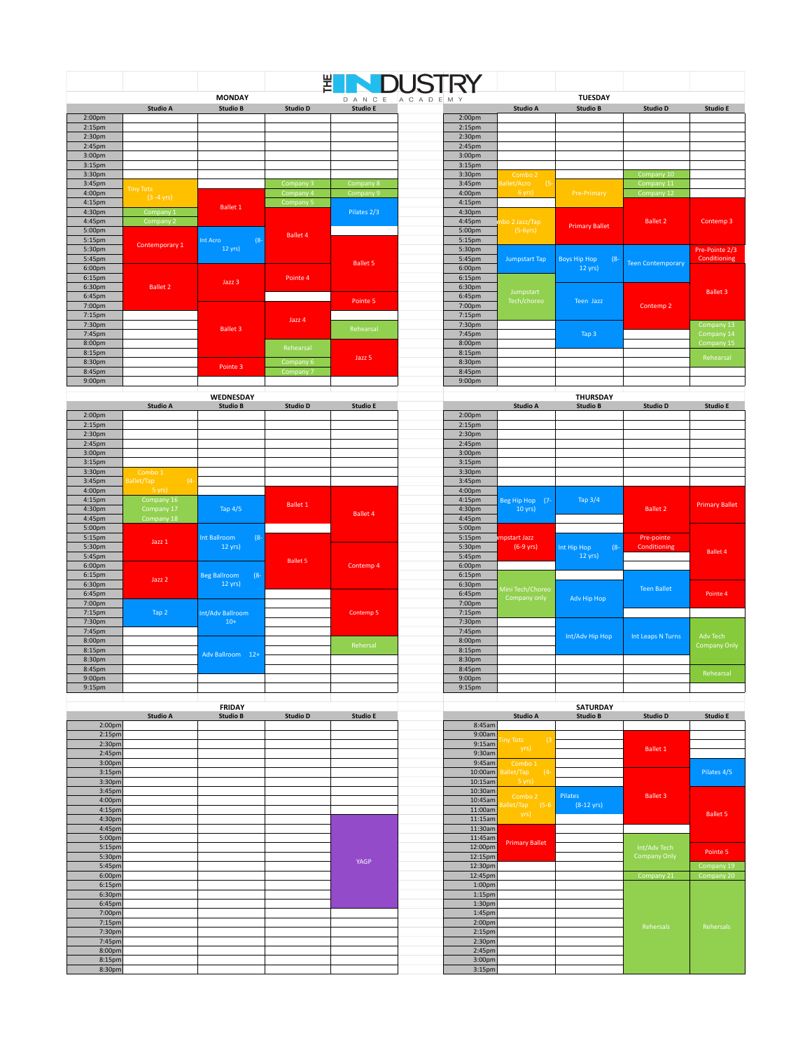|                    |                       |                    |                 | 쀩               |                    |                       |                               |                          |                       |
|--------------------|-----------------------|--------------------|-----------------|-----------------|--------------------|-----------------------|-------------------------------|--------------------------|-----------------------|
|                    |                       | <b>MONDAY</b>      |                 |                 | DANCE ACADEMY      |                       | <b>TUESDAY</b>                |                          |                       |
|                    | <b>Studio A</b>       | <b>Studio B</b>    | <b>Studio D</b> | <b>Studio E</b> |                    | <b>Studio A</b>       | <b>Studio B</b>               | <b>Studio D</b>          | <b>Studio E</b>       |
| 2:00 <sub>pm</sub> |                       |                    |                 |                 | 2:00 <sub>pm</sub> |                       |                               |                          |                       |
| 2:15 <sub>pm</sub> |                       |                    |                 |                 | 2:15 <sub>pm</sub> |                       |                               |                          |                       |
| 2:30 <sub>pm</sub> |                       |                    |                 |                 | 2:30pm             |                       |                               |                          |                       |
| 2:45pm             |                       |                    |                 |                 | 2:45pm             |                       |                               |                          |                       |
| 3:00 <sub>pm</sub> |                       |                    |                 |                 | 3:00pm             |                       |                               |                          |                       |
| 3:15 <sub>pm</sub> |                       |                    |                 |                 | 3:15pm             |                       |                               |                          |                       |
| 3:30 <sub>pm</sub> |                       |                    |                 |                 | 3:30 <sub>pm</sub> | Combo 2               |                               | Company 10               |                       |
| 3:45pm             |                       |                    | Company 3       | Company 8       | 3:45pm             | Ballet/Acro<br>$(5 -$ |                               | Company 11               |                       |
| 4:00pm             | <b>Tiny Tots</b>      |                    | Company 4       | Company 9       | 4:00pm             | 6 yrs)                | <b>Pre-Primary</b>            | Company 12               |                       |
| 4:15 <sub>pm</sub> | $(3 - 4 \text{ yrs})$ |                    | Company 5       |                 | 4:15 <sub>pm</sub> |                       |                               |                          |                       |
| 4:30pm             | Company 1             | <b>Ballet 1</b>    |                 | Pilates 2/3     | 4:30pm             |                       |                               |                          |                       |
| 4:45pm             | Company 2             |                    |                 |                 | 4:45pm             | hbo 2 Jazz/Tap        |                               | <b>Ballet 2</b>          | Contemp 3             |
| 5:00pm             |                       |                    |                 |                 | 5:00pm             | $(5-6yrs)$            | <b>Primary Ballet</b>         |                          |                       |
| 5:15pm             |                       | Int Acro<br>$(8 -$ | <b>Ballet 4</b> |                 | 5:15pm             |                       |                               |                          |                       |
| 5:30pm             | Contemporary 1        | $12 \text{ yrs}$   |                 |                 | 5:30pm             |                       |                               |                          | Pre-Pointe 2/3        |
| 5:45pm             |                       |                    |                 |                 | 5:45pm             | <b>Jumpstart Tap</b>  | <b>Boys Hip Hop</b><br>$(8 -$ |                          | Conditioning          |
| 6:00pm             |                       |                    |                 | <b>Ballet 5</b> | 6:00pm             |                       | 12 yrs)                       | <b>Teen Contemporary</b> |                       |
| 6:15pm             |                       | Jazz 3             | Pointe 4        |                 | 6:15pm             |                       |                               |                          |                       |
| 6:30pm             | <b>Ballet 2</b>       |                    |                 |                 | 6:30pm             |                       |                               |                          |                       |
| 6:45pm             |                       |                    |                 |                 | 6:45pm             | Jumpstart             |                               |                          | <b>Ballet 3</b>       |
| 7:00pm             |                       |                    |                 | Pointe 5        | 7:00pm             | Tech/choreo           | Teen Jazz                     | Contemp 2                |                       |
| 7:15pm             |                       |                    |                 |                 | 7:15pm             |                       |                               |                          |                       |
| 7:30pm             |                       |                    | Jazz 4          |                 | 7:30pm             |                       |                               |                          | Company 13            |
| 7:45pm             |                       | <b>Ballet 3</b>    |                 | Rehearsal       | 7:45pm             |                       | Tap 3                         |                          | Company 14            |
| 8:00pm             |                       |                    |                 |                 | 8:00pm             |                       |                               |                          | Company 15            |
| 8:15pm             |                       |                    | Rehearsal       |                 | 8:15pm             |                       |                               |                          |                       |
| 8:30pm             |                       |                    | Company 6       | Jazz 5          | 8:30pm             |                       |                               |                          | Rehearsal             |
| 8:45pm             |                       | Pointe 3           | Company 7       |                 | 8:45pm             |                       |                               |                          |                       |
| 9:00 <sub>pm</sub> |                       |                    |                 |                 | 9:00 <sub>pm</sub> |                       |                               |                          |                       |
|                    |                       |                    |                 |                 |                    |                       |                               |                          |                       |
|                    |                       | WEDNESDAY          |                 |                 |                    |                       | <b>THURSDAY</b>               |                          |                       |
|                    | <b>Studio A</b>       | <b>Studio B</b>    | <b>Studio D</b> | <b>Studio E</b> |                    | <b>Studio A</b>       | <b>Studio B</b>               | <b>Studio D</b>          | <b>Studio E</b>       |
| 2:00 <sub>pm</sub> |                       |                    |                 |                 | 2:00 <sub>pm</sub> |                       |                               |                          |                       |
| 2:15 <sub>pm</sub> |                       |                    |                 |                 | 2:15 <sub>pm</sub> |                       |                               |                          |                       |
| 2:30 <sub>pm</sub> |                       |                    |                 |                 | 2:30pm             |                       |                               |                          |                       |
| 2:45 <sub>pm</sub> |                       |                    |                 |                 | 2:45pm             |                       |                               |                          |                       |
| 3:00 <sub>pm</sub> |                       |                    |                 |                 | 3:00 <sub>pm</sub> |                       |                               |                          |                       |
| 3:15 <sub>pm</sub> |                       |                    |                 |                 | 3:15pm             |                       |                               |                          |                       |
| 3:30pm             | Combo 1               |                    |                 |                 | 3:30pm             |                       |                               |                          |                       |
| 3:45pm             | Ballet/Tap<br>$(4 -$  |                    |                 |                 | 3:45pm             |                       |                               |                          |                       |
| 4:00pm             | 5 yrs)                |                    |                 |                 | 4:00pm             |                       |                               |                          |                       |
| 4:15pm             | Company 16            |                    | <b>Ballet 1</b> |                 | 4:15pm             | Beg Hip Hop (7-       | Tap 3/4                       | <b>Ballet 2</b>          | <b>Primary Ballet</b> |
| 4:30pm             | Company 17            | Tap 4/5            |                 | <b>Ballet 4</b> | 4:30pm             | 10 yrs)               |                               |                          |                       |
| 4:45pm<br>5:00nm   | Company 18            |                    |                 |                 | 4:45pm<br>5:00nm   |                       |                               |                          |                       |
|                    |                       |                    |                 |                 |                    |                       |                               |                          |                       |

| 4:00pm             | o yısı     |                               |                 |           | 4:00pm             |                                  |                       |                    |                      |
|--------------------|------------|-------------------------------|-----------------|-----------|--------------------|----------------------------------|-----------------------|--------------------|----------------------|
| 4:15 <sub>pm</sub> | Company 16 |                               | Ballet 1        |           | 4:15 <sub>pm</sub> | Beg Hip Hop (7-                  | Tap $3/4$             |                    | <b>Primary Balle</b> |
| 4:30pm             | Company 17 | Tap 4/5                       |                 | Ballet 4  | 4:30pm             | $10 \text{ yrs}$                 |                       | <b>Ballet 2</b>    |                      |
| 4:45pm             | Company 18 |                               |                 |           | 4:45pm             |                                  |                       |                    |                      |
| 5:00pm             |            |                               |                 |           | 5:00pm             |                                  |                       |                    |                      |
| 5:15pm             | Jazz 1     | $(8 - )$<br>Int Ballroom      |                 |           | 5:15pm             | <b>Impstart Jazz</b>             |                       | Pre-pointe         |                      |
| 5:30pm             |            | $12 \text{ yrs}$              |                 |           | 5:30pm             | $(6-9 \text{ yrs})$              | $(8 -$<br>Int Hip Hop | Conditioning       | <b>Ballet 4</b>      |
| 5:45pm             |            |                               | <b>Ballet 5</b> |           | 5:45pm             |                                  | $12 \text{ yrs}$      |                    |                      |
| 6:00pm             |            |                               |                 | Contemp 4 | 6:00 <sub>pm</sub> |                                  |                       |                    |                      |
| 6:15pm             | Jazz 2     | $(8 -$<br><b>Beg Ballroom</b> |                 |           | 6:15pm             |                                  |                       |                    |                      |
| 6:30pm             |            | $12 \text{ yrs}$              |                 |           | 6:30pm             |                                  |                       | <b>Teen Ballet</b> |                      |
| 6:45pm             |            |                               |                 |           | 6:45pm             | Mini Tech/Choreo<br>Company only | Adv Hip Hop           |                    | Pointe 4             |
| 7:00pm             |            |                               |                 |           | 7:00pm             |                                  |                       |                    |                      |
| 7:15 <sub>pm</sub> | Tap 2      | Int/Adv Ballroom              |                 | Contemp 5 | 7:15 <sub>pm</sub> |                                  |                       |                    |                      |
| 7:30pm             |            | $10+$                         |                 |           | 7:30pm             |                                  |                       |                    |                      |
| 7:45pm             |            |                               |                 |           | 7:45pm             |                                  | Int/Adv Hip Hop       | Int Leaps N Turns  | Adv Tech             |
| 8:00pm             |            |                               |                 | Rehersal  | 8:00pm             |                                  |                       |                    | <b>Company Onl</b>   |
| 8:15pm             |            | Adv Ballroom 12+              |                 |           | 8:15pm             |                                  |                       |                    |                      |
| 8:30pm             |            |                               |                 |           | 8:30pm             |                                  |                       |                    |                      |
| 8:45pm             |            |                               | 8:45pm          |           |                    |                                  | Rehearsal             |                    |                      |
| 9:00 <sub>pm</sub> |            |                               |                 |           | 9:00 <sub>pm</sub> |                                  |                       |                    |                      |
| 9:15 <sub>pm</sub> |            |                               |                 |           | 9:15 <sub>pm</sub> |                                  |                       |                    |                      |
|                    |            |                               |                 |           |                    |                                  |                       |                    |                      |
|                    |            |                               |                 |           |                    |                                  |                       |                    |                      |

|                    |                 | <b>FRIDAY</b>   |                 |                 |                    |                            | <b>SATURDAY</b>      |                     |                  |
|--------------------|-----------------|-----------------|-----------------|-----------------|--------------------|----------------------------|----------------------|---------------------|------------------|
|                    | <b>Studio A</b> | <b>Studio B</b> | <b>Studio D</b> | <b>Studio E</b> |                    | <b>Studio A</b>            | <b>Studio B</b>      | <b>Studio D</b>     | <b>Studio E</b>  |
| 2:00 <sub>pm</sub> |                 |                 |                 |                 | 8:45am             |                            |                      |                     |                  |
| 2:15 <sub>pm</sub> |                 |                 |                 |                 | 9:00am             | iny Tots<br>(3)            |                      |                     |                  |
| 2:30 <sub>pm</sub> |                 |                 |                 |                 | 9:15am             | yrs)                       |                      | <b>Ballet 1</b>     |                  |
| 2:45pm             |                 |                 |                 |                 | 9:30am             |                            |                      |                     |                  |
| 3:00 <sub>pm</sub> |                 |                 |                 |                 | 9:45am             | Combo 1                    |                      |                     |                  |
| 3:15 <sub>pm</sub> |                 |                 |                 |                 | 10:00am            | allet/Tap<br>$(4-$         |                      |                     | Pilates 4/5      |
| 3:30 <sub>pm</sub> |                 |                 |                 |                 | 10:15am            | 5 yrs)                     |                      |                     |                  |
| 3:45pm             |                 |                 |                 |                 | 10:30am            |                            | Pilates              | <b>Ballet 3</b>     |                  |
| 4:00pm             |                 |                 |                 |                 | 10:45am            | Combo 2<br>Ballet/Tap (5-6 | $(8-12 \text{ yrs})$ |                     | <b>Ballet 5</b>  |
| 4:15 <sub>pm</sub> |                 |                 |                 |                 | 11:00am            | yrs)                       |                      |                     |                  |
| 4:30pm             |                 |                 |                 |                 | 11:15am            |                            |                      |                     |                  |
| 4:45pm             |                 |                 |                 |                 | 11:30am            | <b>Primary Ballet</b>      |                      | Int/Adv Tech        |                  |
| 5:00pm             |                 |                 |                 |                 | 11:45am            |                            |                      |                     |                  |
| 5:15pm             |                 |                 |                 |                 | 12:00pm            |                            |                      |                     |                  |
| 5:30pm             |                 |                 |                 | YAGP            | 12:15pm            |                            |                      | <b>Company Only</b> | Pointe 5         |
| 5:45pm             |                 |                 |                 |                 | 12:30pm            |                            |                      |                     | Company 19       |
| 6:00pm             |                 |                 |                 |                 | 12:45pm            |                            |                      | Company 21          | Company 20       |
| 6:15pm             |                 |                 |                 |                 | 1:00pm             |                            |                      |                     |                  |
| 6:30pm             |                 |                 |                 |                 | 1:15 <sub>pm</sub> |                            |                      |                     |                  |
| 6:45pm             |                 |                 |                 |                 | 1:30pm             |                            |                      |                     |                  |
| 7:00pm             |                 |                 |                 |                 | 1:45pm             |                            |                      |                     |                  |
| 7:15pm             |                 |                 |                 |                 | 2:00 <sub>pm</sub> |                            |                      | Rehersals           | <b>Rehersals</b> |
| 7:30 <sub>pm</sub> |                 |                 |                 |                 | 2:15pm             |                            |                      |                     |                  |
| 7:45pm             |                 |                 |                 |                 | 2:30pm             |                            |                      |                     |                  |
| 8:00 <sub>pm</sub> |                 |                 |                 |                 | 2:45pm             |                            |                      |                     |                  |
| 8:15pm             |                 |                 |                 |                 | 3:00pm             |                            |                      |                     |                  |
| 8:30pm             |                 |                 |                 |                 | 3:15pm             |                            |                      |                     |                  |

| <b>Studio E</b><br><b>Studio D</b> | <b>SATURDAY</b>      |                         |                    |                 |                 | <b>FRIDAY</b>   |          |
|------------------------------------|----------------------|-------------------------|--------------------|-----------------|-----------------|-----------------|----------|
|                                    | <b>Studio B</b>      | Studio A                |                    | <b>Studio E</b> | <b>Studio D</b> | <b>Studio B</b> | Studio A |
|                                    |                      |                         | 8:45am             |                 |                 |                 |          |
|                                    |                      |                         | 9:00am             |                 |                 |                 |          |
| <b>Ballet 1</b>                    |                      | iny Tots<br>(3)<br>yrs) | 9:15am             |                 |                 |                 |          |
|                                    |                      |                         | 9:30am             |                 |                 |                 |          |
|                                    |                      | Combo 1                 | 9:45am             |                 |                 |                 |          |
| Pilates 4/5                        |                      | Ballet/Tap<br>$(4-$     | 10:00am            |                 |                 |                 |          |
|                                    |                      | 5 yrs)                  | 10:15am            |                 |                 |                 |          |
| <b>Ballet 3</b>                    | Pilates              | Combo 2                 | 10:30am            |                 |                 |                 |          |
|                                    | $(8-12 \text{ yrs})$ | Ballet/Tap (5-6         | 10:45am            |                 |                 |                 |          |
| <b>Ballet 5</b>                    |                      | yrs)                    | 11:00am            |                 |                 |                 |          |
|                                    |                      |                         | 11:15am            |                 |                 |                 |          |
|                                    |                      |                         | 11:30am            |                 |                 |                 |          |
|                                    |                      | <b>Primary Ballet</b>   | 11:45am            |                 |                 |                 |          |
| Int/Adv Tech<br>Pointe 5           |                      |                         | 12:00pm            |                 |                 |                 |          |
| <b>Company Only</b>                |                      |                         | 12:15pm            | YAGP            |                 |                 |          |
| Company 19                         |                      |                         | 12:30pm            |                 |                 |                 |          |
| Company 21<br>Company 20           |                      |                         | 12:45pm            |                 |                 |                 |          |
|                                    |                      |                         | 1:00 <sub>pm</sub> |                 |                 |                 |          |
|                                    |                      |                         | 1:15 <sub>pm</sub> |                 |                 |                 |          |
|                                    |                      |                         | 1:30 <sub>pm</sub> |                 |                 |                 |          |
|                                    |                      |                         | $1:45$ pm          |                 |                 |                 |          |
| Rehersals<br>Rehersals             |                      |                         | 2:00 <sub>pm</sub> |                 |                 |                 |          |
|                                    |                      |                         | 2:15 <sub>pm</sub> |                 |                 |                 |          |
|                                    |                      |                         | 2:30 <sub>pm</sub> |                 |                 |                 |          |
|                                    |                      |                         | $2:45$ pm          |                 |                 |                 |          |
|                                    |                      |                         | 3:00 <sub>pm</sub> |                 |                 |                 |          |
|                                    |                      |                         | 3:15 <sub>pm</sub> |                 |                 |                 |          |

<u> 1999 - Johann Barnett, f</u>

<u> Tanzania (</u>